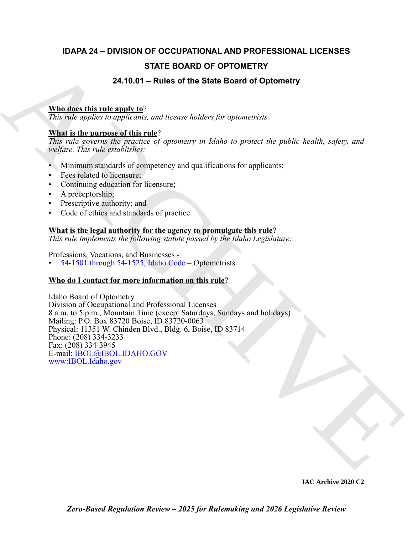# **IDAPA 24 – DIVISION OF OCCUPATIONAL AND PROFESSIONAL LICENSES STATE BOARD OF OPTOMETRY**

# **24.10.01 – Rules of the State Board of Optometry**

# **Who does this rule apply to**?

*This rule applies to applicants, and license holders for optometrists.*

# **What is the purpose of this rule**?

*This rule governs the practice of optometry in Idaho to protect the public health, safety, and welfare. This rule establishes:*

- Minimum standards of competency and qualifications for applicants;
- Fees related to licensure;
- Continuing education for licensure;
- A preceptorship;
- Prescriptive authority; and
- Code of ethics and standards of practice

# **What is the legal authority for the agency to promulgate this rule**?

*This rule implements the following statute passed by the Idaho Legislature:*

Professions, Vocations, and Businesses -

• 54-1501 through 54-1525, Idaho Code – Optometrists

# **Who do I contact for more information on this rule**?

**STATE BOARD OF OPTOMETRY**<br>
24.10.01 – Rules of the State Board of Optometry<br>
This ratio applies in applicante, and increase bulders for representing<br>
This ratio applies in applicante, and increase bulders for representin Idaho Board of Optometry Division of Occupational and Professional Licenses 8 a.m. to 5 p.m., Mountain Time (except Saturdays, Sundays and holidays) Mailing: P.O. Box 83720 Boise, ID 83720-0063 Physical: 11351 W. Chinden Blvd., Bldg. 6, Boise, ID 83714 Phone: (208) 334-3233 Fax: (208) 334-3945 E-mail: IBOL@IBOL.IDAHO.GOV www:IBOL.Idaho.gov

**IAC Archive 2020 C2**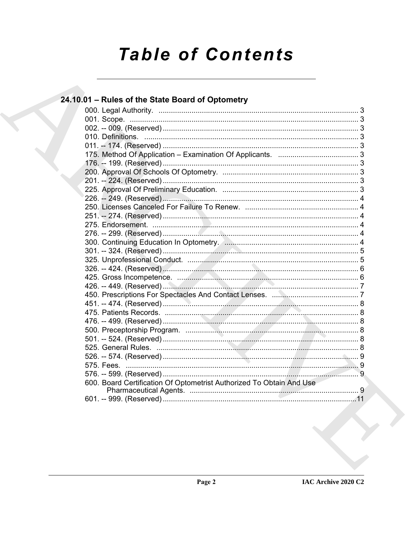# **Table of Contents**

| 24.10.01 - Rules of the State Board of Optometry                     |  |
|----------------------------------------------------------------------|--|
|                                                                      |  |
|                                                                      |  |
|                                                                      |  |
|                                                                      |  |
|                                                                      |  |
|                                                                      |  |
|                                                                      |  |
|                                                                      |  |
|                                                                      |  |
|                                                                      |  |
|                                                                      |  |
|                                                                      |  |
|                                                                      |  |
|                                                                      |  |
|                                                                      |  |
|                                                                      |  |
|                                                                      |  |
|                                                                      |  |
|                                                                      |  |
|                                                                      |  |
|                                                                      |  |
|                                                                      |  |
|                                                                      |  |
|                                                                      |  |
|                                                                      |  |
|                                                                      |  |
|                                                                      |  |
|                                                                      |  |
|                                                                      |  |
|                                                                      |  |
| 600. Board Certification Of Optometrist Authorized To Obtain And Use |  |
|                                                                      |  |
|                                                                      |  |
|                                                                      |  |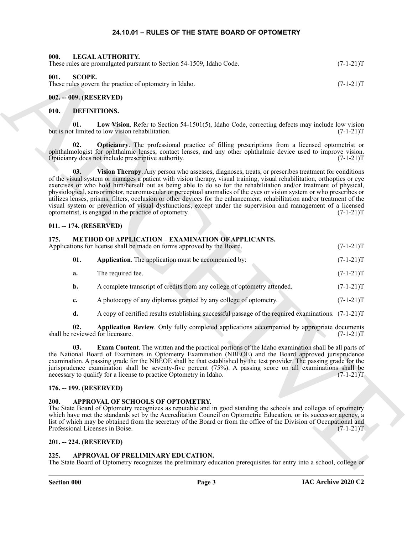#### **24.10.01 – RULES OF THE STATE BOARD OF OPTOMETRY**

<span id="page-2-22"></span><span id="page-2-17"></span><span id="page-2-2"></span><span id="page-2-1"></span><span id="page-2-0"></span>

| LEGAL AUTHORITY.<br>000.<br>These rules are promulgated pursuant to Section 54-1509, Idaho Code. | $(7-1-21)T$ |
|--------------------------------------------------------------------------------------------------|-------------|
| 001.<br>SCOPE.<br>These rules govern the practice of optometry in Idaho.                         | $(7-1-21)T$ |
| 002. -- 009. (RESERVED)                                                                          |             |

#### <span id="page-2-14"></span><span id="page-2-13"></span><span id="page-2-4"></span><span id="page-2-3"></span>**010. DEFINITIONS.**

**01. Low Vision**. Refer to Section 54-1501(5), Idaho Code, correcting defects may include low vision but is not limited to low vision rehabilitation. (7-1-21)T

<span id="page-2-16"></span><span id="page-2-15"></span>**02. Opticianry**. The professional practice of filling prescriptions from a licensed optometrist or ophthalmologist for ophthalmic lenses, contact lenses, and any other ophthalmic device used to improve vision. Opticianry does not include prescriptive authority. (7-1-21)T

Here special special is the special of the special special special special special is the special of the special special special special special special special special special special special special special special spec **03. Vision Therapy**. Any person who assesses, diagnoses, treats, or prescribes treatment for conditions of the visual system or manages a patient with vision therapy, visual training, visual rehabilitation, orthoptics or eye exercises or who hold him/herself out as being able to do so for the rehabilitation and/or treatment of physical, physiological, sensorimotor, neuromuscular or perceptual anomalies of the eyes or vision system or who prescribes or utilizes lenses, prisms, filters, occlusion or other devices for the enhancement, rehabilitation and/or treatment of the visual system or prevention of visual dysfunctions, except under the supervision and management of a licensed optometrist, is engaged in the practice of optometry. (7-1-21) optometrist, is engaged in the practice of optometry.

#### <span id="page-2-5"></span>**011. -- 174. (RESERVED)**

#### <span id="page-2-18"></span><span id="page-2-6"></span>**175. METHOD OF APPLICATION – EXAMINATION OF APPLICANTS.** Applications for license shall be made on forms approved by the Board.  $(7-1-21)T$

- <span id="page-2-19"></span>**01.** Application. The application must be accompanied by:  $(7-1-21)T$
- **a.** The required fee. (7-1-21)T
- **b.** A complete transcript of credits from any college of optometry attended.  $(7-1-21)T$
- **c.** A photocopy of any diplomas granted by any college of optometry. (7-1-21)T
- <span id="page-2-21"></span><span id="page-2-20"></span>**d.** A copy of certified results establishing successful passage of the required examinations. (7-1-21)T

**02. Application Review**. Only fully completed applications accompanied by appropriate documents eviewed for licensure. (7-1-21)T shall be reviewed for licensure.

**03. Exam Content**. The written and the practical portions of the Idaho examination shall be all parts of the National Board of Examiners in Optometry Examination (NBEOE) and the Board approved jurisprudence examination. A passing grade for the NBEOE shall be that established by the test provider. The passing grade for the jurisprudence examination shall be seventy-five percent (75%). A passing score on all examinations shall be necessary to qualify for a license to practice Optometry in Idaho. (7-1-21) necessary to qualify for a license to practice Optometry in Idaho.

#### <span id="page-2-7"></span>**176. -- 199. (RESERVED)**

#### <span id="page-2-12"></span><span id="page-2-8"></span>**200. APPROVAL OF SCHOOLS OF OPTOMETRY.**

The State Board of Optometry recognizes as reputable and in good standing the schools and colleges of optometry which have met the standards set by the Accreditation Council on Optometric Education, or its successor agency, a list of which may be obtained from the secretary of the Board or from the office of the Division of Occupational and Professional Licenses in Boise. (7-1-21) Professional Licenses in Boise.

#### <span id="page-2-9"></span>**201. -- 224. (RESERVED)**

#### <span id="page-2-11"></span><span id="page-2-10"></span>**225. APPROVAL OF PRELIMINARY EDUCATION.**

The State Board of Optometry recognizes the preliminary education prerequisites for entry into a school, college or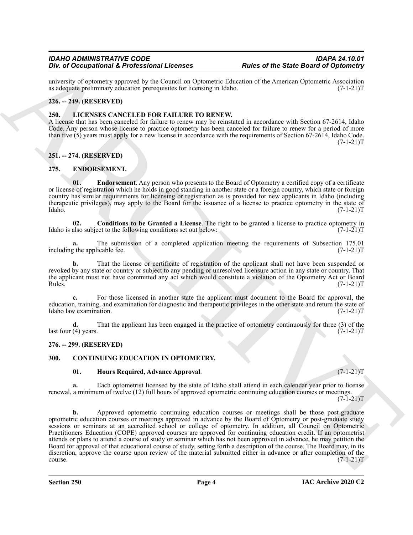university of optometry approved by the Council on Optometric Education of the American Optometric Association as adequate preliminary education prerequisites for licensing in Idaho. (7-1-21) as adequate preliminary education prerequisites for licensing in Idaho.

#### <span id="page-3-0"></span>**226. -- 249. (RESERVED)**

#### <span id="page-3-11"></span><span id="page-3-1"></span>**250. LICENSES CANCELED FOR FAILURE TO RENEW.**

A license that has been canceled for failure to renew may be reinstated in accordance with Section 67-2614, Idaho Code. Any person whose license to practice optometry has been canceled for failure to renew for a period of more than five (5) years must apply for a new license in accordance with the requirements of Section 67-2614, Idaho Code.  $(7-1-21)T$ 

## <span id="page-3-2"></span>**251. -- 274. (RESERVED)**

## <span id="page-3-8"></span><span id="page-3-3"></span>**275. ENDORSEMENT.**

<span id="page-3-10"></span>**01. Endorsement**. Any person who presents to the Board of Optometry a certified copy of a certificate or license of registration which he holds in good standing in another state or a foreign country, which state or foreign country has similar requirements for licensing or registration as is provided for new applicants in Idaho (including therapeutic privileges), may apply to the Board for the issuance of a license to practice optometry in the state of Idaho. (7-1-21) Idaho. (7-1-21)T

<span id="page-3-9"></span>**02. Conditions to be Granted a License**. The right to be granted a license to practice optometry in also subject to the following conditions set out below:  $(7-1-21)$ Idaho is also subject to the following conditions set out below:

**a.** The submission of a completed application meeting the requirements of Subsection 175.01 represents the applicable fee. including the applicable fee.

That the license or certificate of registration of the applicant shall not have been suspended or revoked by any state or country or subject to any pending or unresolved licensure action in any state or country. That the applicant must not have committed any act which would constitute a violation of the Optometry Act or Board<br>Rules. (7-1-21)T Rules. (7-1-21)T

**c.** For those licensed in another state the applicant must document to the Board for approval, the education, training, and examination for diagnostic and therapeutic privileges in the other state and return the state of Idaho law examination. (7-1-21) Idaho law examination.

**d.** That the applicant has been engaged in the practice of optometry continuously for three (3) of the (4) years.  $(7-1-21)T$ last four  $(4)$  years.

#### <span id="page-3-4"></span>**276. -- 299. (RESERVED)**

#### <span id="page-3-5"></span>**300. CONTINUING EDUCATION IN OPTOMETRY.**

#### <span id="page-3-7"></span><span id="page-3-6"></span>**01. Hours Required, Advance Approval**. (7-1-21)T

**a.** Each optometrist licensed by the state of Idaho shall attend in each calendar year prior to license renewal, a minimum of twelve (12) full hours of approved optometric continuing education courses or meetings.

 $(7-1-21)T$ 

*Do is O Compilator* & Profession II allows the Company and Research Company and Company and Company and Company and Company and Company and Company and Company and Company and Company and Company and Company and The Co **b.** Approved optometric continuing education courses or meetings shall be those post-graduate optometric education courses or meetings approved in advance by the Board of Optometry or post-graduate study sessions or seminars at an accredited school or college of optometry. In addition, all Council on Optometric Practitioners Education (COPE) approved courses are approved for continuing education credit. If an optometrist attends or plans to attend a course of study or seminar which has not been approved in advance, he may petition the Board for approval of that educational course of study, setting forth a description of the course. The Board may, in its discretion, approve the course upon review of the material submitted either in advance or after completion of the course. (7-1-21)T  $\text{course.}$  (7-1-21)T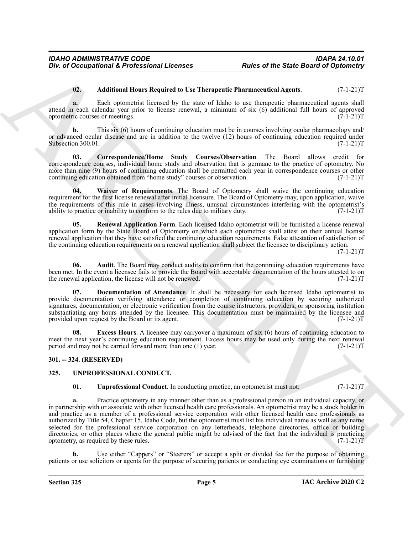#### <span id="page-4-3"></span>**02. Additional Hours Required to Use Therapeutic Pharmaceutical Agents**. (7-1-21)T

**a.** Each optometrist licensed by the state of Idaho to use therapeutic pharmaceutical agents shall attend in each calendar year prior to license renewal, a minimum of six  $(6)$  additional full hours of approved optometric courses or meetings.  $(7-1-21)$ optometric courses or meetings.

**b.** This six (6) hours of continuing education must be in courses involving ocular pharmacology and/ or advanced ocular disease and are in addition to the twelve (12) hours of continuing education required under<br>Subsection 300.01. (7-1-21)T Subsection 300.01.

<span id="page-4-5"></span>**03. Correspondence/Home Study Courses/Observation**. The Board allows credit for correspondence courses, individual home study and observation that is germane to the practice of optometry. No more than nine (9) hours of continuing education shall be permitted each year in correspondence courses or other continuing education obtained from "home study" courses or observation. (7-1-21) continuing education obtained from "home study" courses or observation.

<span id="page-4-9"></span>**04. Waiver of Requirements**. The Board of Optometry shall waive the continuing education requirement for the first license renewal after initial licensure. The Board of Optometry may, upon application, waive the requirements of this rule in cases involving illness, unusual circumstances interfering with the optometrist's ability to practice or inability to conform to the rules due to military duty. (7-1-21) ability to practice or inability to conform to the rules due to military duty.

<span id="page-4-8"></span>**Renewal Application Form.** Each licensed Idaho optometrist will be furnished a license renewal application form by the State Board of Optometry on which each optometrist shall attest on their annual license renewal application that they have satisfied the continuing education requirements. False attestation of satisfaction of the continuing education requirements on a renewal application shall subject the licensee to disciplinary action.

 $(7-1-21)T$ 

<span id="page-4-4"></span>**06.** Audit. The Board may conduct audits to confirm that the continuing education requirements have been met. In the event a licensee fails to provide the Board with acceptable documentation of the hours attested to on the renewal application, the license will not be renewed. (7-1-21) the renewal application, the license will not be renewed.

<span id="page-4-6"></span>**Documentation of Attendance**. It shall be necessary for each licensed Idaho optometrist to provide documentation verifying attendance or completion of continuing education by securing authorized signatures, documentation, or electronic verification from the course instructors, providers, or sponsoring institution substantiating any hours attended by the licensee. This documentation must be maintained by the licensee and provided upon request by the Board or its agent. (7-1-21) provided upon request by the Board or its agent.

<span id="page-4-7"></span>**08.** Excess Hours. A licensee may carryover a maximum of six (6) hours of continuing education to meet the next year's continuing education requirement. Excess hours may be used only during the next renewal period and may not be carried forward more than one (1) year. (7-1-21) period and may not be carried forward more than one  $(1)$  year.

#### <span id="page-4-0"></span>**301. -- 324. (RESERVED)**

#### <span id="page-4-1"></span>**325. UNPROFESSIONAL CONDUCT.**

<span id="page-4-10"></span><span id="page-4-2"></span>**01. Unprofessional Conduct**. In conducting practice, an optometrist must not:  $(7-1-21)T$ 

For d'Occupational & Professional Licenses<br>
Walks of the State Board of Optional Property<br>
(2). Additional Human Hequinesia (1) the anterior distances in the state of the state of the state of the state of the state of th **a.** Practice optometry in any manner other than as a professional person in an individual capacity, or in partnership with or associate with other licensed health care professionals. An optometrist may be a stock holder in and practice as a member of a professional service corporation with other licensed health care professionals as authorized by Title 54, Chapter 15, Idaho Code, but the optometrist must list his individual name as well as any name selected for the professional service corporation on any letterheads, telephone directories, office or building directories, or other places where the general public might be advised of the fact that the individual is practicing optometry, as required by these rules. (7-1-21) optometry, as required by these rules.

**b.** Use either "Cappers" or "Steerers" or accept a split or divided fee for the purpose of obtaining patients or use solicitors or agents for the purpose of securing patients or conducting eye examinations or furnishing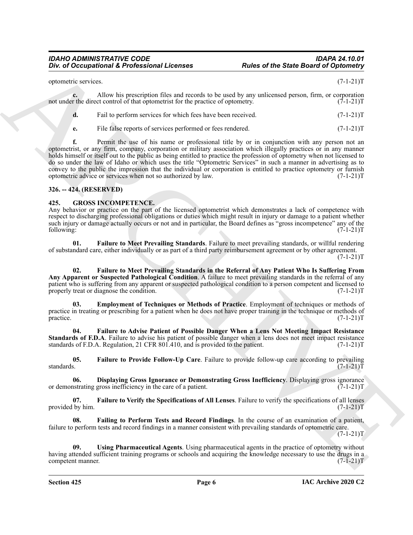| optometric services. |  |   |  |   |  |  |  | $(7-1-21)T$ |   |     |  |
|----------------------|--|---|--|---|--|--|--|-------------|---|-----|--|
|                      |  | . |  | . |  |  |  |             | . | $-$ |  |

**c.** Allow his prescription files and records to be used by any unlicensed person, firm, or corporation not under the direct control of that optometrist for the practice of optometry. (7-1-21)T

| Fail to perform services for which fees have been received. | $(7-1-21)T$ |
|-------------------------------------------------------------|-------------|
| File false reports of services performed or fees rendered.  | $(7-1-21)T$ |

Box of Occupational & Professional Licenses<br>
spheres of the State Board of Optional Sympatrics and manths in terms of by a symbiantal period, for  $\alpha$ , consequent<br>
and can be the consensus of the spheres of the spheres of **f.** Permit the use of his name or professional title by or in conjunction with any person not an optometrist, or any firm, company, corporation or military association which illegally practices or in any manner holds himself or itself out to the public as being entitled to practice the profession of optometry when not licensed to do so under the law of Idaho or which uses the title "Optometric Services" in such a manner in advertising as to convey to the public the impression that the individual or corporation is entitled to practice optometry or furnish optometric advice or services when not so authorized by law. (7-1-21)T

## <span id="page-5-0"></span>**326. -- 424. (RESERVED)**

## <span id="page-5-2"></span><span id="page-5-1"></span>**425. GROSS INCOMPETENCE.**

Any behavior or practice on the part of the licensed optometrist which demonstrates a lack of competence with respect to discharging professional obligations or duties which might result in injury or damage to a patient whether such injury or damage actually occurs or not and in particular, the Board defines as "gross incompetence" any of the following: (7-1-21)T following: (7-1-21)T

<span id="page-5-7"></span>**01. Failure to Meet Prevailing Standards**. Failure to meet prevailing standards, or willful rendering of substandard care, either individually or as part of a third party reimbursement agreement or by other agreement.  $(7-1-21)T$ 

<span id="page-5-8"></span>**02. Failure to Meet Prevailing Standards in the Referral of Any Patient Who Is Suffering From Any Apparent or Suspected Pathological Condition**. A failure to meet prevailing standards in the referral of any patient who is suffering from any apparent or suspected pathological condition to a person competent and licensed to properly treat or diagnose the condition. (7-1-21)T

<span id="page-5-4"></span>**03. Employment of Techniques or Methods of Practice**. Employment of techniques or methods of practice in treating or prescribing for a patient when he does not have proper training in the technique or methods of practice.  $(7-1-21)T$ practice. (7-1-21)T

<span id="page-5-6"></span>**04. Failure to Advise Patient of Possible Danger When a Lens Not Meeting Impact Resistance Standards of F.D.A**. Failure to advise his patient of possible danger when a lens does not meet impact resistance standards of F.D.A. Regulation, 21 CFR 801.410, and is provided to the patient. (7-1-21) standards of F.D.A. Regulation, 21 CFR 801.410, and is provided to the patient.

<span id="page-5-9"></span>**05.** Failure to Provide Follow-Up Care. Failure to provide follow-up care according to prevailing standards.  $(7-1-21)T$ standards. (7-1-21)T

<span id="page-5-3"></span>**06.** Displaying Gross Ignorance or Demonstrating Gross Inefficiency. Displaying gross ignorance or Saturdary in the care of a patient. (7-1-21)T or demonstrating gross inefficiency in the care of a patient.

<span id="page-5-10"></span>**07. Failure to Verify the Specifications of All Lenses**. Failure to verify the specifications of all lenses provided by him.  $(7-1-21)T$ 

<span id="page-5-5"></span>**08. Failing to Perform Tests and Record Findings**. In the course of an examination of a patient, failure to perform tests and record findings in a manner consistent with prevailing standards of optometric care.  $(7-1-21)T$ 

<span id="page-5-11"></span>**09. Using Pharmaceutical Agents**. Using pharmaceutical agents in the practice of optometry without having attended sufficient training programs or schools and acquiring the knowledge necessary to use the drugs in a competent manner. (7-1-21)T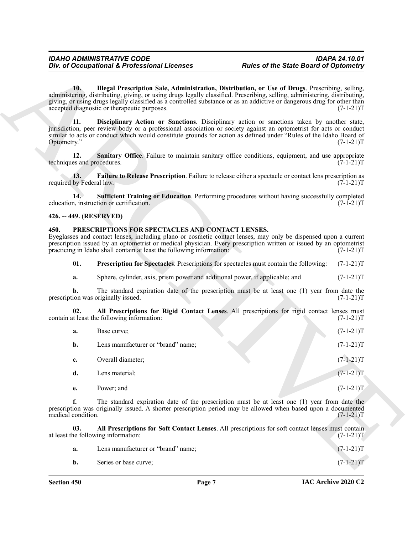#### <span id="page-6-10"></span><span id="page-6-9"></span><span id="page-6-7"></span><span id="page-6-0"></span>**426. -- 449. (RESERVED)**

#### <span id="page-6-5"></span><span id="page-6-3"></span><span id="page-6-2"></span><span id="page-6-1"></span>**450. PRESCRIPTIONS FOR SPECTACLES AND CONTACT LENSES.**

<span id="page-6-8"></span><span id="page-6-6"></span>

| Illegal Prescription Sale, Administration, Distribution, or Use of Drugs. Prescribing, selling,<br>10.<br>administering, distributing, giving, or using drugs legally classified. Prescribing, selling, administering, distributing,<br>giving, or using drugs legally classified as a controlled substance or as an addictive or dangerous drug for other than<br>accepted diagnostic or therapeutic purposes.<br>$(7-1-21)T$<br>11.<br>Disciplinary Action or Sanctions. Disciplinary action or sanctions taken by another state,<br>jurisdiction, peer review body or a professional association or society against an optometrist for acts or conduct<br>similar to acts or conduct which would constitute grounds for action as defined under "Rules of the Idaho Board of<br>Optometry."<br>$(7-1-21)T$<br>12.<br><b>Sanitary Office.</b> Failure to maintain sanitary office conditions, equipment, and use appropriate<br>techniques and procedures.<br>$(7-1-21)T$<br>Failure to Release Prescription. Failure to release either a spectacle or contact lens prescription as<br>13.<br>required by Federal law.<br>$(7-1-21)T$<br><b>Sufficient Training or Education.</b> Performing procedures without having successfully completed<br>14.<br>education, instruction or certification.<br>$(7-1-21)T$<br>426. -- 449. (RESERVED)<br>PRESCRIPTIONS FOR SPECTACLES AND CONTACT LENSES.<br>450.<br>Eyeglasses and contact lenses, including plano or cosmetic contact lenses, may only be dispensed upon a current<br>prescription issued by an optometrist or medical physician. Every prescription written or issued by an optometrist<br>practicing in Idaho shall contain at least the following information:<br>$(7-1-21)T$<br>01.<br><b>Prescription for Spectacles.</b> Prescriptions for spectacles must contain the following:<br>$(7-1-21)T$<br>Sphere, cylinder, axis, prism power and additional power, if applicable; and<br>$(7-1-21)T$<br>a.<br>The standard expiration date of the prescription must be at least one (1) year from date the<br>b.<br>prescription was originally issued.<br>$(7-1-21)T$<br>All Prescriptions for Rigid Contact Lenses. All prescriptions for rigid contact lenses must<br>02.<br>contain at least the following information:<br>$(7-1-21)T$<br>$(7-1-21)T$<br>Base curve;<br>a.<br>Lens manufacturer or "brand" name;<br>$(7-1-21)T$<br>b.<br>$(7-1-21)T$<br>Overall diameter;<br>c.<br>$(7-1-21)T$<br>d.<br>Lens material;<br>$(7-1-21)T$<br>Power; and<br>e.<br>f.<br>The standard expiration date of the prescription must be at least one (1) year from date the<br>prescription was originally issued. A shorter prescription period may be allowed when based upon a documented<br>medical condition.<br>$(7-1-21)T$<br>03.<br>All Prescriptions for Soft Contact Lenses. All prescriptions for soft contact lenses must contain<br>at least the following information:<br>$(7-1-21)T$<br>Lens manufacturer or "brand" name;<br>$(7-1-21)T$<br>a.<br>$(7-1-21)T$<br>Series or base curve;<br>b. | Div. of Occupational & Professional Licenses | <b>Rules of the State Board of Optometry</b> |  |
|----------------------------------------------------------------------------------------------------------------------------------------------------------------------------------------------------------------------------------------------------------------------------------------------------------------------------------------------------------------------------------------------------------------------------------------------------------------------------------------------------------------------------------------------------------------------------------------------------------------------------------------------------------------------------------------------------------------------------------------------------------------------------------------------------------------------------------------------------------------------------------------------------------------------------------------------------------------------------------------------------------------------------------------------------------------------------------------------------------------------------------------------------------------------------------------------------------------------------------------------------------------------------------------------------------------------------------------------------------------------------------------------------------------------------------------------------------------------------------------------------------------------------------------------------------------------------------------------------------------------------------------------------------------------------------------------------------------------------------------------------------------------------------------------------------------------------------------------------------------------------------------------------------------------------------------------------------------------------------------------------------------------------------------------------------------------------------------------------------------------------------------------------------------------------------------------------------------------------------------------------------------------------------------------------------------------------------------------------------------------------------------------------------------------------------------------------------------------------------------------------------------------------------------------------------------------------------------------------------------------------------------------------------------------------------------------------------------------------------------------------------------------------------------------------------------------------------------------------------------------------------------------------------------------------------------------------------------------------------------------------------------------------------------------------------------|----------------------------------------------|----------------------------------------------|--|
|                                                                                                                                                                                                                                                                                                                                                                                                                                                                                                                                                                                                                                                                                                                                                                                                                                                                                                                                                                                                                                                                                                                                                                                                                                                                                                                                                                                                                                                                                                                                                                                                                                                                                                                                                                                                                                                                                                                                                                                                                                                                                                                                                                                                                                                                                                                                                                                                                                                                                                                                                                                                                                                                                                                                                                                                                                                                                                                                                                                                                                                                |                                              |                                              |  |
|                                                                                                                                                                                                                                                                                                                                                                                                                                                                                                                                                                                                                                                                                                                                                                                                                                                                                                                                                                                                                                                                                                                                                                                                                                                                                                                                                                                                                                                                                                                                                                                                                                                                                                                                                                                                                                                                                                                                                                                                                                                                                                                                                                                                                                                                                                                                                                                                                                                                                                                                                                                                                                                                                                                                                                                                                                                                                                                                                                                                                                                                |                                              |                                              |  |
|                                                                                                                                                                                                                                                                                                                                                                                                                                                                                                                                                                                                                                                                                                                                                                                                                                                                                                                                                                                                                                                                                                                                                                                                                                                                                                                                                                                                                                                                                                                                                                                                                                                                                                                                                                                                                                                                                                                                                                                                                                                                                                                                                                                                                                                                                                                                                                                                                                                                                                                                                                                                                                                                                                                                                                                                                                                                                                                                                                                                                                                                |                                              |                                              |  |
|                                                                                                                                                                                                                                                                                                                                                                                                                                                                                                                                                                                                                                                                                                                                                                                                                                                                                                                                                                                                                                                                                                                                                                                                                                                                                                                                                                                                                                                                                                                                                                                                                                                                                                                                                                                                                                                                                                                                                                                                                                                                                                                                                                                                                                                                                                                                                                                                                                                                                                                                                                                                                                                                                                                                                                                                                                                                                                                                                                                                                                                                |                                              |                                              |  |
|                                                                                                                                                                                                                                                                                                                                                                                                                                                                                                                                                                                                                                                                                                                                                                                                                                                                                                                                                                                                                                                                                                                                                                                                                                                                                                                                                                                                                                                                                                                                                                                                                                                                                                                                                                                                                                                                                                                                                                                                                                                                                                                                                                                                                                                                                                                                                                                                                                                                                                                                                                                                                                                                                                                                                                                                                                                                                                                                                                                                                                                                |                                              |                                              |  |
|                                                                                                                                                                                                                                                                                                                                                                                                                                                                                                                                                                                                                                                                                                                                                                                                                                                                                                                                                                                                                                                                                                                                                                                                                                                                                                                                                                                                                                                                                                                                                                                                                                                                                                                                                                                                                                                                                                                                                                                                                                                                                                                                                                                                                                                                                                                                                                                                                                                                                                                                                                                                                                                                                                                                                                                                                                                                                                                                                                                                                                                                |                                              |                                              |  |
|                                                                                                                                                                                                                                                                                                                                                                                                                                                                                                                                                                                                                                                                                                                                                                                                                                                                                                                                                                                                                                                                                                                                                                                                                                                                                                                                                                                                                                                                                                                                                                                                                                                                                                                                                                                                                                                                                                                                                                                                                                                                                                                                                                                                                                                                                                                                                                                                                                                                                                                                                                                                                                                                                                                                                                                                                                                                                                                                                                                                                                                                |                                              |                                              |  |
|                                                                                                                                                                                                                                                                                                                                                                                                                                                                                                                                                                                                                                                                                                                                                                                                                                                                                                                                                                                                                                                                                                                                                                                                                                                                                                                                                                                                                                                                                                                                                                                                                                                                                                                                                                                                                                                                                                                                                                                                                                                                                                                                                                                                                                                                                                                                                                                                                                                                                                                                                                                                                                                                                                                                                                                                                                                                                                                                                                                                                                                                |                                              |                                              |  |
|                                                                                                                                                                                                                                                                                                                                                                                                                                                                                                                                                                                                                                                                                                                                                                                                                                                                                                                                                                                                                                                                                                                                                                                                                                                                                                                                                                                                                                                                                                                                                                                                                                                                                                                                                                                                                                                                                                                                                                                                                                                                                                                                                                                                                                                                                                                                                                                                                                                                                                                                                                                                                                                                                                                                                                                                                                                                                                                                                                                                                                                                |                                              |                                              |  |
|                                                                                                                                                                                                                                                                                                                                                                                                                                                                                                                                                                                                                                                                                                                                                                                                                                                                                                                                                                                                                                                                                                                                                                                                                                                                                                                                                                                                                                                                                                                                                                                                                                                                                                                                                                                                                                                                                                                                                                                                                                                                                                                                                                                                                                                                                                                                                                                                                                                                                                                                                                                                                                                                                                                                                                                                                                                                                                                                                                                                                                                                |                                              |                                              |  |
|                                                                                                                                                                                                                                                                                                                                                                                                                                                                                                                                                                                                                                                                                                                                                                                                                                                                                                                                                                                                                                                                                                                                                                                                                                                                                                                                                                                                                                                                                                                                                                                                                                                                                                                                                                                                                                                                                                                                                                                                                                                                                                                                                                                                                                                                                                                                                                                                                                                                                                                                                                                                                                                                                                                                                                                                                                                                                                                                                                                                                                                                |                                              |                                              |  |
|                                                                                                                                                                                                                                                                                                                                                                                                                                                                                                                                                                                                                                                                                                                                                                                                                                                                                                                                                                                                                                                                                                                                                                                                                                                                                                                                                                                                                                                                                                                                                                                                                                                                                                                                                                                                                                                                                                                                                                                                                                                                                                                                                                                                                                                                                                                                                                                                                                                                                                                                                                                                                                                                                                                                                                                                                                                                                                                                                                                                                                                                |                                              |                                              |  |
|                                                                                                                                                                                                                                                                                                                                                                                                                                                                                                                                                                                                                                                                                                                                                                                                                                                                                                                                                                                                                                                                                                                                                                                                                                                                                                                                                                                                                                                                                                                                                                                                                                                                                                                                                                                                                                                                                                                                                                                                                                                                                                                                                                                                                                                                                                                                                                                                                                                                                                                                                                                                                                                                                                                                                                                                                                                                                                                                                                                                                                                                |                                              |                                              |  |
|                                                                                                                                                                                                                                                                                                                                                                                                                                                                                                                                                                                                                                                                                                                                                                                                                                                                                                                                                                                                                                                                                                                                                                                                                                                                                                                                                                                                                                                                                                                                                                                                                                                                                                                                                                                                                                                                                                                                                                                                                                                                                                                                                                                                                                                                                                                                                                                                                                                                                                                                                                                                                                                                                                                                                                                                                                                                                                                                                                                                                                                                |                                              |                                              |  |
|                                                                                                                                                                                                                                                                                                                                                                                                                                                                                                                                                                                                                                                                                                                                                                                                                                                                                                                                                                                                                                                                                                                                                                                                                                                                                                                                                                                                                                                                                                                                                                                                                                                                                                                                                                                                                                                                                                                                                                                                                                                                                                                                                                                                                                                                                                                                                                                                                                                                                                                                                                                                                                                                                                                                                                                                                                                                                                                                                                                                                                                                |                                              |                                              |  |
|                                                                                                                                                                                                                                                                                                                                                                                                                                                                                                                                                                                                                                                                                                                                                                                                                                                                                                                                                                                                                                                                                                                                                                                                                                                                                                                                                                                                                                                                                                                                                                                                                                                                                                                                                                                                                                                                                                                                                                                                                                                                                                                                                                                                                                                                                                                                                                                                                                                                                                                                                                                                                                                                                                                                                                                                                                                                                                                                                                                                                                                                |                                              |                                              |  |
|                                                                                                                                                                                                                                                                                                                                                                                                                                                                                                                                                                                                                                                                                                                                                                                                                                                                                                                                                                                                                                                                                                                                                                                                                                                                                                                                                                                                                                                                                                                                                                                                                                                                                                                                                                                                                                                                                                                                                                                                                                                                                                                                                                                                                                                                                                                                                                                                                                                                                                                                                                                                                                                                                                                                                                                                                                                                                                                                                                                                                                                                |                                              |                                              |  |
|                                                                                                                                                                                                                                                                                                                                                                                                                                                                                                                                                                                                                                                                                                                                                                                                                                                                                                                                                                                                                                                                                                                                                                                                                                                                                                                                                                                                                                                                                                                                                                                                                                                                                                                                                                                                                                                                                                                                                                                                                                                                                                                                                                                                                                                                                                                                                                                                                                                                                                                                                                                                                                                                                                                                                                                                                                                                                                                                                                                                                                                                |                                              |                                              |  |
|                                                                                                                                                                                                                                                                                                                                                                                                                                                                                                                                                                                                                                                                                                                                                                                                                                                                                                                                                                                                                                                                                                                                                                                                                                                                                                                                                                                                                                                                                                                                                                                                                                                                                                                                                                                                                                                                                                                                                                                                                                                                                                                                                                                                                                                                                                                                                                                                                                                                                                                                                                                                                                                                                                                                                                                                                                                                                                                                                                                                                                                                |                                              |                                              |  |
|                                                                                                                                                                                                                                                                                                                                                                                                                                                                                                                                                                                                                                                                                                                                                                                                                                                                                                                                                                                                                                                                                                                                                                                                                                                                                                                                                                                                                                                                                                                                                                                                                                                                                                                                                                                                                                                                                                                                                                                                                                                                                                                                                                                                                                                                                                                                                                                                                                                                                                                                                                                                                                                                                                                                                                                                                                                                                                                                                                                                                                                                |                                              |                                              |  |

<span id="page-6-4"></span>

| <b>a.</b> | Lens manufacturer or "brand" name; | $(7-1-21)T$ |
|-----------|------------------------------------|-------------|
| <b>b.</b> | Series or base curve;              | $(7-1-21)T$ |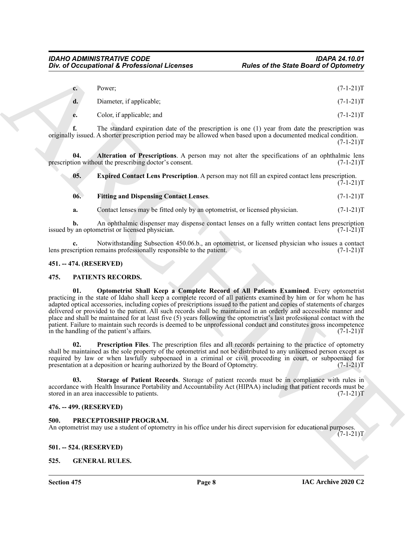| $c_{\bullet}$ | Power;                   | $(7-1-21)T$ |
|---------------|--------------------------|-------------|
|               | Diameter, if applicable; | $(7-1-21)T$ |

**e.** Color, if applicable; and (7-1-21)T

**f.** The standard expiration date of the prescription is one (1) year from date the prescription was originally issued. A shorter prescription period may be allowed when based upon a documented medical condition.  $(7-1-21)T$ 

**04.** Alteration of Prescriptions. A person may not alter the specifications of an ophthalmic lens ion without the prescribing doctor's consent. (7-1-21) prescription without the prescribing doctor's consent.

<span id="page-7-13"></span><span id="page-7-12"></span>**05. Expired Contact Lens Prescription**. A person may not fill an expired contact lens prescription.  $(7-1-21)T$ 

<span id="page-7-14"></span>**06. Fitting and Dispensing Contact Lenses**. (7-1-21)T

**a.** Contact lenses may be fitted only by an optometrist, or licensed physician.  $(7-1-21)$ T

**b.** An ophthalmic dispenser may dispense contact lenses on a fully written contact lens prescription  $\gamma$  an optometrist or licensed physician. issued by an optometrist or licensed physician.

Notwithstanding Subsection 450.06.b., an optometrist, or licensed physician who issues a contact remains professionally responsible to the patient. (7-1-21)<sup>T</sup> lens prescription remains professionally responsible to the patient.

#### <span id="page-7-0"></span>**451. -- 474. (RESERVED)**

#### <span id="page-7-8"></span><span id="page-7-7"></span><span id="page-7-1"></span>**475. PATIENTS RECORDS.**

*Div. of Occupational K. Professional Licenses Padisa of the State Board of Optimizing*<br>
C. L. Unit, if equivalently, and<br>
C. L. Unit, if equivalently, and<br>  $\mathbf{r} = \frac{1}{2}$  The stated explorite state of the preceding **01. Optometrist Shall Keep a Complete Record of All Patients Examined**. Every optometrist practicing in the state of Idaho shall keep a complete record of all patients examined by him or for whom he has adapted optical accessories, including copies of prescriptions issued to the patient and copies of statements of charges delivered or provided to the patient. All such records shall be maintained in an orderly and accessible manner and place and shall be maintained for at least five (5) years following the optometrist's last professional contact with the patient. Failure to maintain such records is deemed to be unprofessional conduct and constitutes gross incompetence in the handling of the patient's affairs.  $(7-1-21)T$ 

<span id="page-7-9"></span>**02. Prescription Files**. The prescription files and all records pertaining to the practice of optometry shall be maintained as the sole property of the optometrist and not be distributed to any unlicensed person except as required by law or when lawfully subpoenaed in a criminal or civil proceeding in court, or subpoenaed for presentation at a deposition or hearing authorized by the Board of Optometry. (7-1-21)T

<span id="page-7-10"></span>**03. Storage of Patient Records**. Storage of patient records must be in compliance with rules in accordance with Health Insurance Portability and Accountability Act (HIPAA) including that patient records must be stored in an area inaccessible to patients. (7-1-21)T

#### <span id="page-7-2"></span>**476. -- 499. (RESERVED)**

#### <span id="page-7-11"></span><span id="page-7-3"></span>**500. PRECEPTORSHIP PROGRAM.**

An optometrist may use a student of optometry in his office under his direct supervision for educational purposes.  $(7-1-21)T$ 

#### <span id="page-7-4"></span>**501. -- 524. (RESERVED)**

#### <span id="page-7-6"></span><span id="page-7-5"></span>**525. GENERAL RULES.**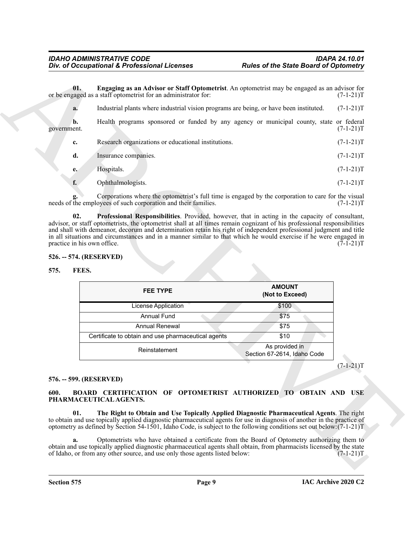<span id="page-8-7"></span>

| Engaging as an Advisor or Staff Optometrist. An optometrist may be engaged as an advisor for<br>01.<br>or be engaged as a staff optometrist for an administrator for:<br>Industrial plants where industrial vision programs are being, or have been instituted.<br>a.<br>Health programs sponsored or funded by any agency or municipal county, state or federal<br>b.<br>government.<br>Research organizations or educational institutions.<br>c.<br>d.<br>Insurance companies.<br>Hospitals.<br>e.<br>f.<br>Ophthalmologists.<br>Corporations where the optometrist's full time is engaged by the corporation to care for the visual<br>needs of the employees of such corporation and their families.<br>Professional Responsibilities. Provided, however, that in acting in the capacity of consultant,<br>02.<br>advisor, or staff optometrists, the optometrist shall at all times remain cognizant of his professional responsibilities<br>and shall with demeanor, decorum and determination retain his right of independent professional judgment and title<br>in all situations and circumstances and in a manner similar to that which he would exercise if he were engaged in<br>practice in his own office.<br>526. -- 574. (RESERVED)<br>FEES.<br>575.<br><b>AMOUNT</b><br><b>FEE TYPE</b><br>(Not to Exceed)<br>License Application<br>\$100<br><b>Annual Fund</b><br>\$75<br>Annual Renewal<br>\$75<br>\$10<br>Certificate to obtain and use pharmaceutical agents<br>As provided in<br>Reinstatement<br>Section 67-2614, Idaho Code<br>576. -- 599. (RESERVED)<br>BOARD CERTIFICATION OF OPTOMETRIST AUTHORIZED TO OBTAIN AND USE<br>600.<br>PHARMACEUTICAL AGENTS.<br>01.<br>The Right to Obtain and Use Topically Applied Diagnostic Pharmaceutical Agents. The right<br>to obtain and use topically applied diagnostic pharmaceutical agents for use in diagnosis of another in the practice of<br>optometry as defined by Section 54-1501, Idaho Code, is subject to the following conditions set out below: $(7-1-21)$ T<br>Optometrists who have obtained a certificate from the Board of Optometry authorizing them to<br>a.<br>obtain and use topically applied diagnostic pharmaceutical agents shall obtain, from pharmacists licensed by the state<br>of Idaho, or from any other source, and use only those agents listed below:<br>$(7-1-21)T$ | Div. of Occupational & Professional Licenses | <b>Rules of the State Board of Optometry</b> |             |
|------------------------------------------------------------------------------------------------------------------------------------------------------------------------------------------------------------------------------------------------------------------------------------------------------------------------------------------------------------------------------------------------------------------------------------------------------------------------------------------------------------------------------------------------------------------------------------------------------------------------------------------------------------------------------------------------------------------------------------------------------------------------------------------------------------------------------------------------------------------------------------------------------------------------------------------------------------------------------------------------------------------------------------------------------------------------------------------------------------------------------------------------------------------------------------------------------------------------------------------------------------------------------------------------------------------------------------------------------------------------------------------------------------------------------------------------------------------------------------------------------------------------------------------------------------------------------------------------------------------------------------------------------------------------------------------------------------------------------------------------------------------------------------------------------------------------------------------------------------------------------------------------------------------------------------------------------------------------------------------------------------------------------------------------------------------------------------------------------------------------------------------------------------------------------------------------------------------------------------------------------------------------------------------------------------------------------------------------------------------------------|----------------------------------------------|----------------------------------------------|-------------|
|                                                                                                                                                                                                                                                                                                                                                                                                                                                                                                                                                                                                                                                                                                                                                                                                                                                                                                                                                                                                                                                                                                                                                                                                                                                                                                                                                                                                                                                                                                                                                                                                                                                                                                                                                                                                                                                                                                                                                                                                                                                                                                                                                                                                                                                                                                                                                                              |                                              |                                              | $(7-1-21)T$ |
|                                                                                                                                                                                                                                                                                                                                                                                                                                                                                                                                                                                                                                                                                                                                                                                                                                                                                                                                                                                                                                                                                                                                                                                                                                                                                                                                                                                                                                                                                                                                                                                                                                                                                                                                                                                                                                                                                                                                                                                                                                                                                                                                                                                                                                                                                                                                                                              |                                              |                                              | $(7-1-21)T$ |
|                                                                                                                                                                                                                                                                                                                                                                                                                                                                                                                                                                                                                                                                                                                                                                                                                                                                                                                                                                                                                                                                                                                                                                                                                                                                                                                                                                                                                                                                                                                                                                                                                                                                                                                                                                                                                                                                                                                                                                                                                                                                                                                                                                                                                                                                                                                                                                              |                                              |                                              | $(7-1-21)T$ |
|                                                                                                                                                                                                                                                                                                                                                                                                                                                                                                                                                                                                                                                                                                                                                                                                                                                                                                                                                                                                                                                                                                                                                                                                                                                                                                                                                                                                                                                                                                                                                                                                                                                                                                                                                                                                                                                                                                                                                                                                                                                                                                                                                                                                                                                                                                                                                                              |                                              |                                              | $(7-1-21)T$ |
|                                                                                                                                                                                                                                                                                                                                                                                                                                                                                                                                                                                                                                                                                                                                                                                                                                                                                                                                                                                                                                                                                                                                                                                                                                                                                                                                                                                                                                                                                                                                                                                                                                                                                                                                                                                                                                                                                                                                                                                                                                                                                                                                                                                                                                                                                                                                                                              |                                              |                                              | $(7-1-21)T$ |
|                                                                                                                                                                                                                                                                                                                                                                                                                                                                                                                                                                                                                                                                                                                                                                                                                                                                                                                                                                                                                                                                                                                                                                                                                                                                                                                                                                                                                                                                                                                                                                                                                                                                                                                                                                                                                                                                                                                                                                                                                                                                                                                                                                                                                                                                                                                                                                              |                                              |                                              | $(7-1-21)T$ |
|                                                                                                                                                                                                                                                                                                                                                                                                                                                                                                                                                                                                                                                                                                                                                                                                                                                                                                                                                                                                                                                                                                                                                                                                                                                                                                                                                                                                                                                                                                                                                                                                                                                                                                                                                                                                                                                                                                                                                                                                                                                                                                                                                                                                                                                                                                                                                                              |                                              |                                              | $(7-1-21)T$ |
|                                                                                                                                                                                                                                                                                                                                                                                                                                                                                                                                                                                                                                                                                                                                                                                                                                                                                                                                                                                                                                                                                                                                                                                                                                                                                                                                                                                                                                                                                                                                                                                                                                                                                                                                                                                                                                                                                                                                                                                                                                                                                                                                                                                                                                                                                                                                                                              |                                              |                                              | $(7-1-21)T$ |
|                                                                                                                                                                                                                                                                                                                                                                                                                                                                                                                                                                                                                                                                                                                                                                                                                                                                                                                                                                                                                                                                                                                                                                                                                                                                                                                                                                                                                                                                                                                                                                                                                                                                                                                                                                                                                                                                                                                                                                                                                                                                                                                                                                                                                                                                                                                                                                              |                                              |                                              | $(7-1-21)T$ |
|                                                                                                                                                                                                                                                                                                                                                                                                                                                                                                                                                                                                                                                                                                                                                                                                                                                                                                                                                                                                                                                                                                                                                                                                                                                                                                                                                                                                                                                                                                                                                                                                                                                                                                                                                                                                                                                                                                                                                                                                                                                                                                                                                                                                                                                                                                                                                                              |                                              |                                              |             |
|                                                                                                                                                                                                                                                                                                                                                                                                                                                                                                                                                                                                                                                                                                                                                                                                                                                                                                                                                                                                                                                                                                                                                                                                                                                                                                                                                                                                                                                                                                                                                                                                                                                                                                                                                                                                                                                                                                                                                                                                                                                                                                                                                                                                                                                                                                                                                                              |                                              |                                              |             |
|                                                                                                                                                                                                                                                                                                                                                                                                                                                                                                                                                                                                                                                                                                                                                                                                                                                                                                                                                                                                                                                                                                                                                                                                                                                                                                                                                                                                                                                                                                                                                                                                                                                                                                                                                                                                                                                                                                                                                                                                                                                                                                                                                                                                                                                                                                                                                                              |                                              |                                              |             |
|                                                                                                                                                                                                                                                                                                                                                                                                                                                                                                                                                                                                                                                                                                                                                                                                                                                                                                                                                                                                                                                                                                                                                                                                                                                                                                                                                                                                                                                                                                                                                                                                                                                                                                                                                                                                                                                                                                                                                                                                                                                                                                                                                                                                                                                                                                                                                                              |                                              |                                              |             |
|                                                                                                                                                                                                                                                                                                                                                                                                                                                                                                                                                                                                                                                                                                                                                                                                                                                                                                                                                                                                                                                                                                                                                                                                                                                                                                                                                                                                                                                                                                                                                                                                                                                                                                                                                                                                                                                                                                                                                                                                                                                                                                                                                                                                                                                                                                                                                                              |                                              |                                              |             |
|                                                                                                                                                                                                                                                                                                                                                                                                                                                                                                                                                                                                                                                                                                                                                                                                                                                                                                                                                                                                                                                                                                                                                                                                                                                                                                                                                                                                                                                                                                                                                                                                                                                                                                                                                                                                                                                                                                                                                                                                                                                                                                                                                                                                                                                                                                                                                                              |                                              |                                              |             |
|                                                                                                                                                                                                                                                                                                                                                                                                                                                                                                                                                                                                                                                                                                                                                                                                                                                                                                                                                                                                                                                                                                                                                                                                                                                                                                                                                                                                                                                                                                                                                                                                                                                                                                                                                                                                                                                                                                                                                                                                                                                                                                                                                                                                                                                                                                                                                                              |                                              |                                              |             |
|                                                                                                                                                                                                                                                                                                                                                                                                                                                                                                                                                                                                                                                                                                                                                                                                                                                                                                                                                                                                                                                                                                                                                                                                                                                                                                                                                                                                                                                                                                                                                                                                                                                                                                                                                                                                                                                                                                                                                                                                                                                                                                                                                                                                                                                                                                                                                                              |                                              |                                              |             |
|                                                                                                                                                                                                                                                                                                                                                                                                                                                                                                                                                                                                                                                                                                                                                                                                                                                                                                                                                                                                                                                                                                                                                                                                                                                                                                                                                                                                                                                                                                                                                                                                                                                                                                                                                                                                                                                                                                                                                                                                                                                                                                                                                                                                                                                                                                                                                                              |                                              |                                              | $(7-1-21)T$ |
|                                                                                                                                                                                                                                                                                                                                                                                                                                                                                                                                                                                                                                                                                                                                                                                                                                                                                                                                                                                                                                                                                                                                                                                                                                                                                                                                                                                                                                                                                                                                                                                                                                                                                                                                                                                                                                                                                                                                                                                                                                                                                                                                                                                                                                                                                                                                                                              |                                              |                                              |             |
|                                                                                                                                                                                                                                                                                                                                                                                                                                                                                                                                                                                                                                                                                                                                                                                                                                                                                                                                                                                                                                                                                                                                                                                                                                                                                                                                                                                                                                                                                                                                                                                                                                                                                                                                                                                                                                                                                                                                                                                                                                                                                                                                                                                                                                                                                                                                                                              |                                              |                                              |             |
|                                                                                                                                                                                                                                                                                                                                                                                                                                                                                                                                                                                                                                                                                                                                                                                                                                                                                                                                                                                                                                                                                                                                                                                                                                                                                                                                                                                                                                                                                                                                                                                                                                                                                                                                                                                                                                                                                                                                                                                                                                                                                                                                                                                                                                                                                                                                                                              |                                              |                                              |             |
|                                                                                                                                                                                                                                                                                                                                                                                                                                                                                                                                                                                                                                                                                                                                                                                                                                                                                                                                                                                                                                                                                                                                                                                                                                                                                                                                                                                                                                                                                                                                                                                                                                                                                                                                                                                                                                                                                                                                                                                                                                                                                                                                                                                                                                                                                                                                                                              |                                              |                                              |             |
|                                                                                                                                                                                                                                                                                                                                                                                                                                                                                                                                                                                                                                                                                                                                                                                                                                                                                                                                                                                                                                                                                                                                                                                                                                                                                                                                                                                                                                                                                                                                                                                                                                                                                                                                                                                                                                                                                                                                                                                                                                                                                                                                                                                                                                                                                                                                                                              |                                              |                                              |             |

#### <span id="page-8-8"></span><span id="page-8-0"></span>**526. -- 574. (RESERVED)**

#### <span id="page-8-1"></span>**575. FEES.**

<span id="page-8-6"></span>

| <b>FEE TYPE</b>                                     | <b>AMOUNT</b><br>(Not to Exceed)              |
|-----------------------------------------------------|-----------------------------------------------|
| License Application                                 | \$100                                         |
| Annual Fund                                         | \$75                                          |
| Annual Renewal                                      | \$75                                          |
| Certificate to obtain and use pharmaceutical agents | \$10                                          |
| Reinstatement                                       | As provided in<br>Section 67-2614, Idaho Code |

#### <span id="page-8-2"></span>**576. -- 599. (RESERVED)**

#### <span id="page-8-5"></span><span id="page-8-4"></span><span id="page-8-3"></span>**600. BOARD CERTIFICATION OF OPTOMETRIST AUTHORIZED TO OBTAIN AND USE PHARMACEUTICAL AGENTS.**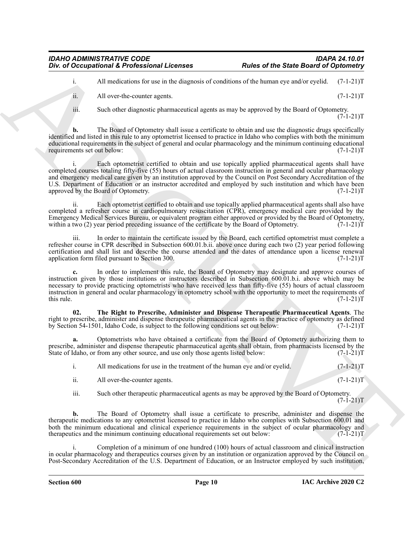i. All medications for use in the diagnosis of conditions of the human eye and/or eyelid. (7-1-21)T

ii. All over-the-counter agents. (7-1-21)T

iii. Such other diagnostic pharmaceutical agents as may be approved by the Board of Optometry.  $(7-1-21)T$ 

**b.** The Board of Optometry shall issue a certificate to obtain and use the diagnostic drugs specifically identified and listed in this rule to any optometrist licensed to practice in Idaho who complies with both the minimum educational requirements in the subject of general and ocular pharmacology and the minimum continuing educational requirements set out below: (7-1-21)T

For d'Occupational K. Professional Licenses<br>
Archive the numerical state of the State of Occupation (1)<br>
All order to us the degrade state and the state of the late of the state of the 1970 CI-1111<br>
A. All order to us the Each optometrist certified to obtain and use topically applied pharmaceutical agents shall have completed courses totaling fifty-five (55) hours of actual classroom instruction in general and ocular pharmacology and emergency medical care given by an institution approved by the Council on Post Secondary Accreditation of the U.S. Department of Education or an instructor accredited and employed by such institution and which have been approved by the Board of Optometry. (7-1-21)T

ii. Each optometrist certified to obtain and use topically applied pharmaceutical agents shall also have completed a refresher course in cardiopulmonary resuscitation (CPR), emergency medical care provided by the Emergency Medical Services Bureau, or equivalent program either approved or provided by the Board of Optometry, within a two (2) year period preceding issuance of the certificate by the Board of Optometry. (7-1-21) T

iii. In order to maintain the certificate issued by the Board, each certified optometrist must complete a refresher course in CPR described in Subsection 600.01.b.ii. above once during each two (2) year period following certification and shall list and describe the course attended and the dates of attendance upon a license renewal application form filed pursuant to Section 300. (7-1-21)T

**c.** In order to implement this rule, the Board of Optometry may designate and approve courses of instruction given by those institutions or instructors described in Subsection 600.01.b.i. above which may be necessary to provide practicing optometrists who have received less than fifty-five (55) hours of actual classroom instruction in general and ocular pharmacology in optometry school with the opportunity to meet the requirements of this rule.  $(7-1-21)T$ 

<span id="page-9-0"></span>**02. The Right to Prescribe, Administer and Dispense Therapeutic Pharmaceutical Agents**. The right to prescribe, administer and dispense therapeutic pharmaceutical agents in the practice of optometry as defined<br>by Section 54-1501, Idaho Code, is subject to the following conditions set out below: (7-1-21)T by Section 54-1501, Idaho Code, is subject to the following conditions set out below:

**a.** Optometrists who have obtained a certificate from the Board of Optometry authorizing them to prescribe, administer and dispense therapeutic pharmaceutical agents shall obtain, from pharmacists licensed by the State of Idaho, or from any other source, and use only those agents listed below:  $(7-1-21)$ T

i. All medications for use in the treatment of the human eye and/or eyelid.  $(7-1-21)T$ 

ii. All over-the-counter agents.  $(7-1-21)T$ 

iii. Such other therapeutic pharmaceutical agents as may be approved by the Board of Optometry.  $(7 - 1 - 21)T$ 

**b.** The Board of Optometry shall issue a certificate to prescribe, administer and dispense the therapeutic medications to any optometrist licensed to practice in Idaho who complies with Subsection 600.01 and both the minimum educational and clinical experience requirements in the subject of ocular pharmacology and therapeutics and the minimum continuing educational requirements set out below:  $(7-1-21)$ therapeutics and the minimum continuing educational requirements set out below:

i. Completion of a minimum of one hundred (100) hours of actual classroom and clinical instruction in ocular pharmacology and therapeutics courses given by an institution or organization approved by the Council on Post-Secondary Accreditation of the U.S. Department of Education, or an Instructor employed by such institution,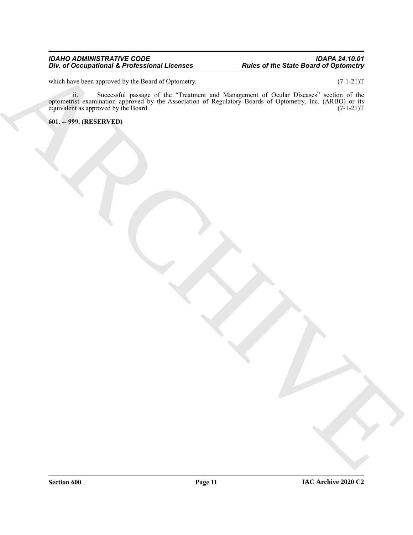#### *IDAHO ADMINISTRATIVE CODE IDAPA 24.10.01 Div. of Occupational & Professional Licenses Rules of the State Board of Optometry*

which have been approved by the Board of Optometry. (7-1-21)T

The differential Environmental Development Contents.<br>
Solid of the Santa Contents and the Contents and the Contents and the Contents and the Contents are the Content<br>
Solid of the Contents and Contents and the Contents and ii. Successful passage of the "Treatment and Management of Ocular Diseases" section of the optometrist examination approved by the Association of Regulatory Boards of Optometry, Inc. (ARBO) or its equivalent as approved by the Board.  $(7-1-21)T$ 

<span id="page-10-0"></span>**601. -- 999. (RESERVED)**